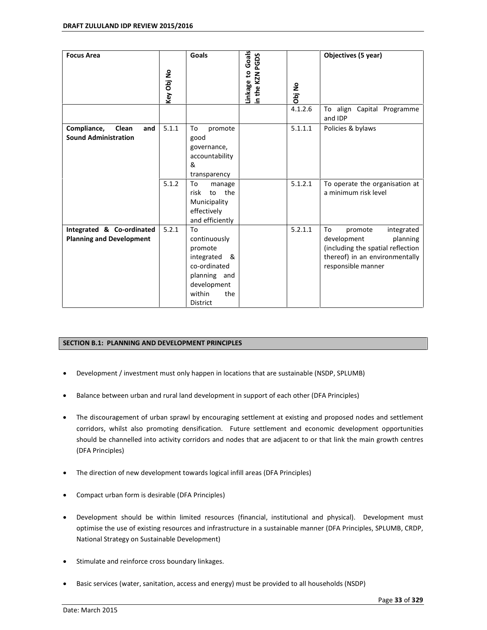| <b>Focus Area</b>                                            | Key Obj No | Goals                                                                                                                                 | Goals<br>in the KZN PGDS<br>Linkage to | Obj No  | Objectives (5 year)                                                                                                                                 |
|--------------------------------------------------------------|------------|---------------------------------------------------------------------------------------------------------------------------------------|----------------------------------------|---------|-----------------------------------------------------------------------------------------------------------------------------------------------------|
|                                                              |            |                                                                                                                                       |                                        | 4.1.2.6 | To align Capital Programme<br>and IDP                                                                                                               |
| Compliance,<br>Clean<br>and<br><b>Sound Administration</b>   | 5.1.1      | promote<br>To<br>good<br>governance,<br>accountability<br>&<br>transparency                                                           |                                        | 5.1.1.1 | Policies & bylaws                                                                                                                                   |
|                                                              | 5.1.2      | To<br>manage<br>risk<br>the<br>to<br>Municipality<br>effectively<br>and efficiently                                                   |                                        | 5.1.2.1 | To operate the organisation at<br>a minimum risk level                                                                                              |
| Integrated & Co-ordinated<br><b>Planning and Development</b> | 5.2.1      | To<br>continuously<br>promote<br>integrated<br>- &<br>co-ordinated<br>planning and<br>development<br>within<br>the<br><b>District</b> |                                        | 5.2.1.1 | To<br>promote<br>integrated<br>development<br>planning<br>(including the spatial reflection<br>thereof) in an environmentally<br>responsible manner |

### **SECTION B.1: PLANNING AND DEVELOPMENT PRINCIPLES**

- Development / investment must only happen in locations that are sustainable (NSDP, SPLUMB)
- Balance between urban and rural land development in support of each other (DFA Principles)
- The discouragement of urban sprawl by encouraging settlement at existing and proposed nodes and settlement corridors, whilst also promoting densification. Future settlement and economic development opportunities should be channelled into activity corridors and nodes that are adjacent to or that link the main growth centres (DFA Principles)
- The direction of new development towards logical infill areas (DFA Principles)
- Compact urban form is desirable (DFA Principles)
- Development should be within limited resources (financial, institutional and physical). Development must optimise the use of existing resources and infrastructure in a sustainable manner (DFA Principles, SPLUMB, CRDP, National Strategy on Sustainable Development)
- Stimulate and reinforce cross boundary linkages.
- Basic services (water, sanitation, access and energy) must be provided to all households (NSDP)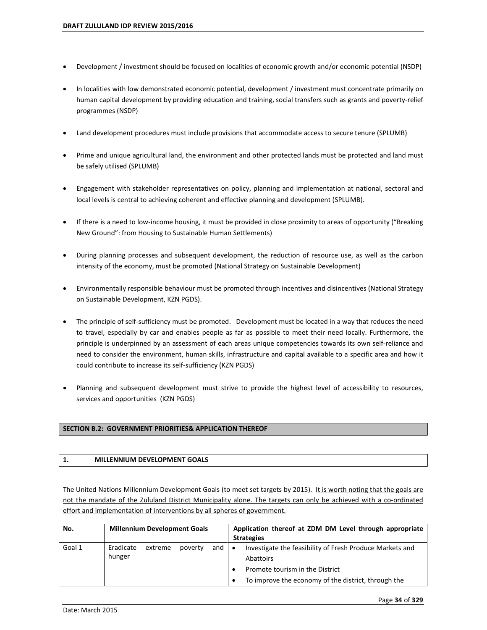- Development / investment should be focused on localities of economic growth and/or economic potential (NSDP)
- In localities with low demonstrated economic potential, development / investment must concentrate primarily on human capital development by providing education and training, social transfers such as grants and poverty-relief programmes (NSDP)
- Land development procedures must include provisions that accommodate access to secure tenure (SPLUMB)
- Prime and unique agricultural land, the environment and other protected lands must be protected and land must be safely utilised (SPLUMB)
- Engagement with stakeholder representatives on policy, planning and implementation at national, sectoral and local levels is central to achieving coherent and effective planning and development (SPLUMB).
- If there is a need to low-income housing, it must be provided in close proximity to areas of opportunity ("Breaking New Ground": from Housing to Sustainable Human Settlements)
- During planning processes and subsequent development, the reduction of resource use, as well as the carbon intensity of the economy, must be promoted (National Strategy on Sustainable Development)
- Environmentally responsible behaviour must be promoted through incentives and disincentives (National Strategy on Sustainable Development, KZN PGDS).
- The principle of self-sufficiency must be promoted. Development must be located in a way that reduces the need to travel, especially by car and enables people as far as possible to meet their need locally. Furthermore, the principle is underpinned by an assessment of each areas unique competencies towards its own self-reliance and need to consider the environment, human skills, infrastructure and capital available to a specific area and how it could contribute to increase its self-sufficiency (KZN PGDS)
- Planning and subsequent development must strive to provide the highest level of accessibility to resources, services and opportunities (KZN PGDS)

### **SECTION B.2: GOVERNMENT PRIORITIES& APPLICATION THEREOF**

### **1. MILLENNIUM DEVELOPMENT GOALS**

The United Nations Millennium Development Goals (to meet set targets by 2015). It is worth noting that the goals are not the mandate of the Zululand District Municipality alone. The targets can only be achieved with a co-ordinated effort and implementation of interventions by all spheres of government.

| No.    | <b>Millennium Development Goals</b>              | Application thereof at ZDM DM Level through appropriate<br><b>Strategies</b>                                                                                                 |
|--------|--------------------------------------------------|------------------------------------------------------------------------------------------------------------------------------------------------------------------------------|
| Goal 1 | Eradicate<br>extreme<br>and<br>poverty<br>hunger | Investigate the feasibility of Fresh Produce Markets and<br>$\bullet$<br>Abattoirs<br>Promote tourism in the District<br>To improve the economy of the district, through the |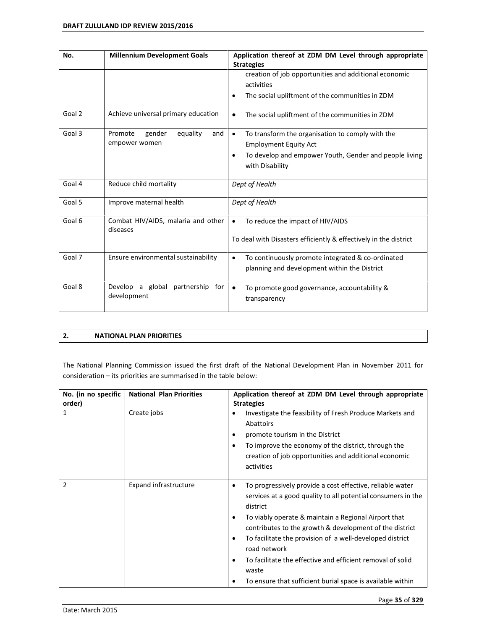| No.    | <b>Millennium Development Goals</b>                   | Application thereof at ZDM DM Level through appropriate<br><b>Strategies</b>                                                                                                            |  |  |
|--------|-------------------------------------------------------|-----------------------------------------------------------------------------------------------------------------------------------------------------------------------------------------|--|--|
|        |                                                       | creation of job opportunities and additional economic<br>activities<br>The social upliftment of the communities in ZDM<br>$\bullet$                                                     |  |  |
| Goal 2 | Achieve universal primary education                   | The social upliftment of the communities in ZDM<br>$\bullet$                                                                                                                            |  |  |
| Goal 3 | Promote<br>gender<br>equality<br>and<br>empower women | To transform the organisation to comply with the<br>$\bullet$<br><b>Employment Equity Act</b><br>To develop and empower Youth, Gender and people living<br>$\bullet$<br>with Disability |  |  |
| Goal 4 | Reduce child mortality                                | Dept of Health                                                                                                                                                                          |  |  |
| Goal 5 | Improve maternal health                               | Dept of Health                                                                                                                                                                          |  |  |
| Goal 6 | Combat HIV/AIDS, malaria and other<br>diseases        | To reduce the impact of HIV/AIDS<br>$\bullet$<br>To deal with Disasters efficiently & effectively in the district                                                                       |  |  |
| Goal 7 | Ensure environmental sustainability                   | To continuously promote integrated & co-ordinated<br>$\bullet$<br>planning and development within the District                                                                          |  |  |
| Goal 8 | Develop a global<br>partnership<br>for<br>development | To promote good governance, accountability &<br>$\bullet$<br>transparency                                                                                                               |  |  |

# **2. NATIONAL PLAN PRIORITIES**

The National Planning Commission issued the first draft of the National Development Plan in November 2011 for  $consideration - its priorities are summarised in the table below:$ 

| No. (in no specific<br>order) | <b>National Plan Priorities</b> | Application thereof at ZDM DM Level through appropriate<br><b>Strategies</b>                                                                                                                                                                                                                                                                                                                                                                                                                  |  |
|-------------------------------|---------------------------------|-----------------------------------------------------------------------------------------------------------------------------------------------------------------------------------------------------------------------------------------------------------------------------------------------------------------------------------------------------------------------------------------------------------------------------------------------------------------------------------------------|--|
| 1                             | Create jobs                     | Investigate the feasibility of Fresh Produce Markets and<br>٠<br>Abattoirs<br>promote tourism in the District<br>٠<br>To improve the economy of the district, through the<br>٠<br>creation of job opportunities and additional economic<br>activities                                                                                                                                                                                                                                         |  |
| 2                             | Expand infrastructure           | To progressively provide a cost effective, reliable water<br>٠<br>services at a good quality to all potential consumers in the<br>district<br>To viably operate & maintain a Regional Airport that<br>٠<br>contributes to the growth & development of the district<br>To facilitate the provision of a well-developed district<br>٠<br>road network<br>To facilitate the effective and efficient removal of solid<br>٠<br>waste<br>To ensure that sufficient burial space is available within |  |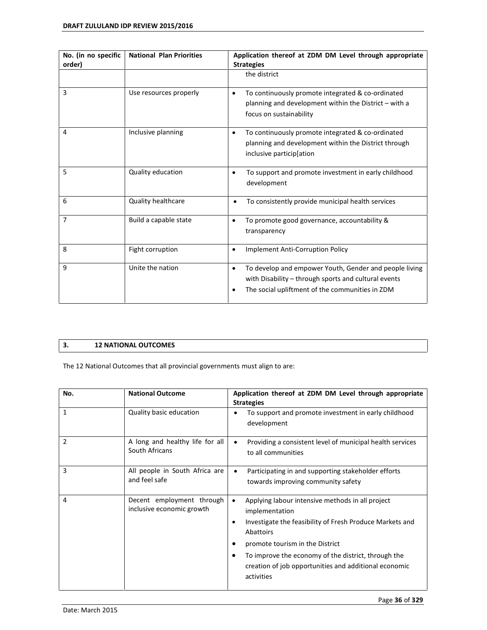| No. (in no specific<br>order) | <b>National Plan Priorities</b> | Application thereof at ZDM DM Level through appropriate<br><b>Strategies</b>                                                                                           |  |
|-------------------------------|---------------------------------|------------------------------------------------------------------------------------------------------------------------------------------------------------------------|--|
|                               |                                 | the district                                                                                                                                                           |  |
| 3                             | Use resources properly          | To continuously promote integrated & co-ordinated<br>٠<br>planning and development within the District - with a<br>focus on sustainability                             |  |
| 4                             | Inclusive planning              | To continuously promote integrated & co-ordinated<br>٠<br>planning and development within the District through<br>inclusive participlation                             |  |
| 5                             | Quality education               | To support and promote investment in early childhood<br>$\bullet$<br>development                                                                                       |  |
| 6                             | <b>Quality healthcare</b>       | To consistently provide municipal health services                                                                                                                      |  |
| 7                             | Build a capable state           | To promote good governance, accountability &<br>$\bullet$<br>transparency                                                                                              |  |
| 8                             | Fight corruption                | Implement Anti-Corruption Policy<br>$\bullet$                                                                                                                          |  |
| 9                             | Unite the nation                | To develop and empower Youth, Gender and people living<br>٠<br>with Disability - through sports and cultural events<br>The social upliftment of the communities in ZDM |  |

## **3. 12 NATIONAL OUTCOMES**

The 12 National Outcomes that all provincial governments must align to are:

| No.            | <b>National Outcome</b>                                | Application thereof at ZDM DM Level through appropriate<br><b>Strategies</b>                                                                                                                                                                                                                                                                     |  |
|----------------|--------------------------------------------------------|--------------------------------------------------------------------------------------------------------------------------------------------------------------------------------------------------------------------------------------------------------------------------------------------------------------------------------------------------|--|
| $\mathbf{1}$   | Quality basic education                                | To support and promote investment in early childhood<br>development                                                                                                                                                                                                                                                                              |  |
| $\overline{2}$ | A long and healthy life for all<br>South Africans      | Providing a consistent level of municipal health services<br>$\bullet$<br>to all communities                                                                                                                                                                                                                                                     |  |
| 3              | All people in South Africa are<br>and feel safe        | Participating in and supporting stakeholder efforts<br>$\bullet$<br>towards improving community safety                                                                                                                                                                                                                                           |  |
| 4              | Decent employment through<br>inclusive economic growth | Applying labour intensive methods in all project<br>$\bullet$<br>implementation<br>Investigate the feasibility of Fresh Produce Markets and<br>$\bullet$<br>Abattoirs<br>promote tourism in the District<br>٠<br>To improve the economy of the district, through the<br>٠<br>creation of job opportunities and additional economic<br>activities |  |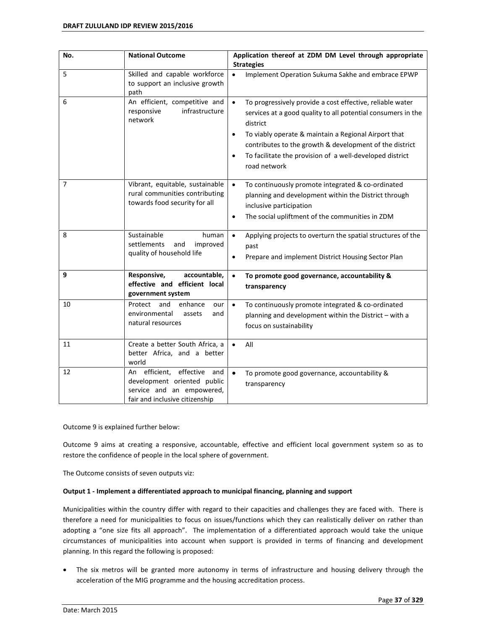| No. | <b>National Outcome</b>                                                                                                            | Application thereof at ZDM DM Level through appropriate<br><b>Strategies</b>                                                                                                                                                                                                                                                                                                |
|-----|------------------------------------------------------------------------------------------------------------------------------------|-----------------------------------------------------------------------------------------------------------------------------------------------------------------------------------------------------------------------------------------------------------------------------------------------------------------------------------------------------------------------------|
| 5   | Skilled and capable workforce<br>to support an inclusive growth<br>path                                                            | $\bullet$<br>Implement Operation Sukuma Sakhe and embrace EPWP                                                                                                                                                                                                                                                                                                              |
| 6   | An efficient, competitive and<br>infrastructure<br>responsive<br>network                                                           | $\bullet$<br>To progressively provide a cost effective, reliable water<br>services at a good quality to all potential consumers in the<br>district<br>To viably operate & maintain a Regional Airport that<br>$\bullet$<br>contributes to the growth & development of the district<br>To facilitate the provision of a well-developed district<br>$\bullet$<br>road network |
| 7   | Vibrant, equitable, sustainable<br>rural communities contributing<br>towards food security for all                                 | To continuously promote integrated & co-ordinated<br>$\bullet$<br>planning and development within the District through<br>inclusive participation<br>The social upliftment of the communities in ZDM<br>$\bullet$                                                                                                                                                           |
| 8   | Sustainable<br>human<br>settlements<br>and<br>improved<br>quality of household life                                                | $\bullet$<br>Applying projects to overturn the spatial structures of the<br>past<br>Prepare and implement District Housing Sector Plan<br>٠                                                                                                                                                                                                                                 |
| 9   | Responsive,<br>accountable,<br>effective and efficient local<br>government system                                                  | To promote good governance, accountability &<br>$\bullet$<br>transparency                                                                                                                                                                                                                                                                                                   |
| 10  | Protect<br>and<br>enhance<br>our<br>environmental<br>assets<br>and<br>natural resources                                            | To continuously promote integrated & co-ordinated<br>$\bullet$<br>planning and development within the District - with a<br>focus on sustainability                                                                                                                                                                                                                          |
| 11  | Create a better South Africa, a<br>better Africa, and a better<br>world                                                            | All<br>$\bullet$                                                                                                                                                                                                                                                                                                                                                            |
| 12  | efficient,<br>effective<br>and<br>An<br>development oriented public<br>service and an empowered,<br>fair and inclusive citizenship | $\bullet$<br>To promote good governance, accountability &<br>transparency                                                                                                                                                                                                                                                                                                   |

Outcome 9 is explained further below:

Outcome 9 aims at creating a responsive, accountable, effective and efficient local government system so as to restore the confidence of people in the local sphere of government.

The Outcome consists of seven outputs viz:

#### **Output 1 - Implement a differentiated approach to municipal financing, planning and support**

Municipalities within the country differ with regard to their capacities and challenges they are faced with. There is therefore a need for municipalities to focus on issues/functions which they can realistically deliver on rather than adopting a "one size fits all approach". The implementation of a differentiated approach would take the unique circumstances of municipalities into account when support is provided in terms of financing and development planning. In this regard the following is proposed:

 The six metros will be granted more autonomy in terms of infrastructure and housing delivery through the acceleration of the MIG programme and the housing accreditation process.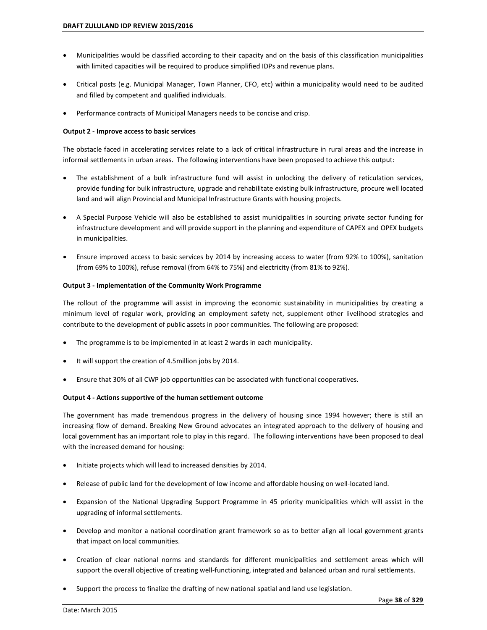- Municipalities would be classified according to their capacity and on the basis of this classification municipalities with limited capacities will be required to produce simplified IDPs and revenue plans.
- Critical posts (e.g. Municipal Manager, Town Planner, CFO, etc) within a municipality would need to be audited and filled by competent and qualified individuals.
- Performance contracts of Municipal Managers needs to be concise and crisp.

### **Output 2 - Improve access to basic services**

The obstacle faced in accelerating services relate to a lack of critical infrastructure in rural areas and the increase in informal settlements in urban areas. The following interventions have been proposed to achieve this output:

- The establishment of a bulk infrastructure fund will assist in unlocking the delivery of reticulation services, provide funding for bulk infrastructure, upgrade and rehabilitate existing bulk infrastructure, procure well located land and will align Provincial and Municipal Infrastructure Grants with housing projects.
- A Special Purpose Vehicle will also be established to assist municipalities in sourcing private sector funding for infrastructure development and will provide support in the planning and expenditure of CAPEX and OPEX budgets in municipalities.
- Ensure improved access to basic services by 2014 by increasing access to water (from 92% to 100%), sanitation (from 69% to 100%), refuse removal (from 64% to 75%) and electricity (from 81% to 92%).

### **Output 3 - Implementation of the Community Work Programme**

The rollout of the programme will assist in improving the economic sustainability in municipalities by creating a minimum level of regular work, providing an employment safety net, supplement other livelihood strategies and contribute to the development of public assets in poor communities. The following are proposed:

- The programme is to be implemented in at least 2 wards in each municipality.
- It will support the creation of 4.5million jobs by 2014.
- Ensure that 30% of all CWP job opportunities can be associated with functional cooperatives.

### **Output 4 - Actions supportive of the human settlement outcome**

The government has made tremendous progress in the delivery of housing since 1994 however; there is still an increasing flow of demand. Breaking New Ground advocates an integrated approach to the delivery of housing and local government has an important role to play in this regard. The following interventions have been proposed to deal with the increased demand for housing:

- Initiate projects which will lead to increased densities by 2014.
- Release of public land for the development of low income and affordable housing on well-located land.
- Expansion of the National Upgrading Support Programme in 45 priority municipalities which will assist in the upgrading of informal settlements.
- Develop and monitor a national coordination grant framework so as to better align all local government grants that impact on local communities.
- Creation of clear national norms and standards for different municipalities and settlement areas which will support the overall objective of creating well-functioning, integrated and balanced urban and rural settlements.
- Support the process to finalize the drafting of new national spatial and land use legislation.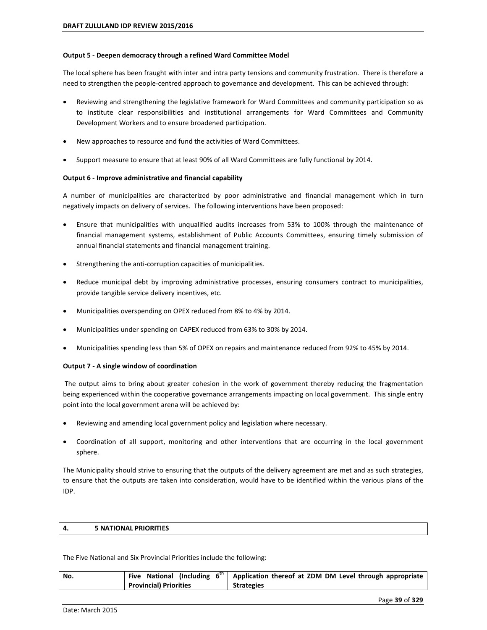#### **Output 5 - Deepen democracy through a refined Ward Committee Model**

The local sphere has been fraught with inter and intra party tensions and community frustration. There is therefore a need to strengthen the people-centred approach to governance and development. This can be achieved through:

- Reviewing and strengthening the legislative framework for Ward Committees and community participation so as to institute clear responsibilities and institutional arrangements for Ward Committees and Community Development Workers and to ensure broadened participation.
- New approaches to resource and fund the activities of Ward Committees.
- Support measure to ensure that at least 90% of all Ward Committees are fully functional by 2014.

### **Output 6 - Improve administrative and financial capability**

A number of municipalities are characterized by poor administrative and financial management which in turn negatively impacts on delivery of services. The following interventions have been proposed:

- Ensure that municipalities with unqualified audits increases from 53% to 100% through the maintenance of financial management systems, establishment of Public Accounts Committees, ensuring timely submission of annual financial statements and financial management training.
- Strengthening the anti-corruption capacities of municipalities.
- Reduce municipal debt by improving administrative processes, ensuring consumers contract to municipalities, provide tangible service delivery incentives, etc.
- Municipalities overspending on OPEX reduced from 8% to 4% by 2014.
- Municipalities under spending on CAPEX reduced from 63% to 30% by 2014.
- Municipalities spending less than 5% of OPEX on repairs and maintenance reduced from 92% to 45% by 2014.

### **Output 7 - A single window of coordination**

 The output aims to bring about greater cohesion in the work of government thereby reducing the fragmentation being experienced within the cooperative governance arrangements impacting on local government. This single entry point into the local government arena will be achieved by:

- Reviewing and amending local government policy and legislation where necessary.
- Coordination of all support, monitoring and other interventions that are occurring in the local government sphere.

The Municipality should strive to ensuring that the outputs of the delivery agreement are met and as such strategies, to ensure that the outputs are taken into consideration, would have to be identified within the various plans of the IDP.

### **4. 5 NATIONAL PRIORITIES**

The Five National and Six Provincial Priorities include the following:

| No. | Five National (Including 6 <sup>th</sup> | Application thereof at ZDM DM Level through appropriate |
|-----|------------------------------------------|---------------------------------------------------------|
|     | <b>Provincial) Priorities</b>            | <b>Strategies</b>                                       |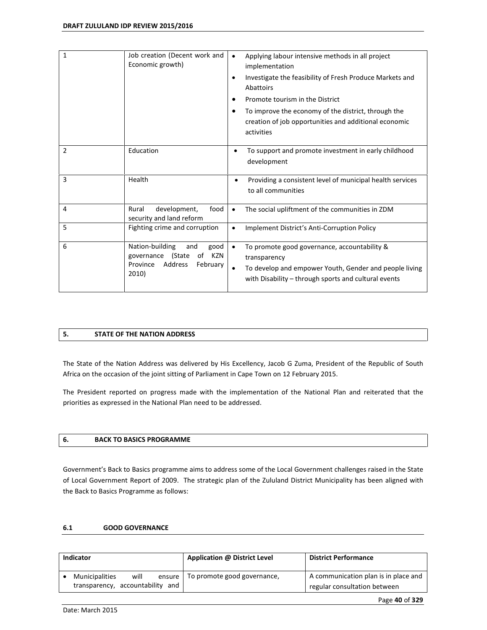| 1              | Job creation (Decent work and<br>Economic growth)                                                               | Applying labour intensive methods in all project<br>$\bullet$<br>implementation<br>Investigate the feasibility of Fresh Produce Markets and<br>Abattoirs<br>Promote tourism in the District<br>To improve the economy of the district, through the<br>٠<br>creation of job opportunities and additional economic<br>activities |
|----------------|-----------------------------------------------------------------------------------------------------------------|--------------------------------------------------------------------------------------------------------------------------------------------------------------------------------------------------------------------------------------------------------------------------------------------------------------------------------|
| $\overline{2}$ | Education                                                                                                       | To support and promote investment in early childhood<br>development                                                                                                                                                                                                                                                            |
| 3              | Health                                                                                                          | Providing a consistent level of municipal health services<br>٠<br>to all communities                                                                                                                                                                                                                                           |
| 4              | development,<br>Rural<br>food<br>security and land reform                                                       | The social upliftment of the communities in ZDM<br>$\bullet$                                                                                                                                                                                                                                                                   |
| 5              | Fighting crime and corruption                                                                                   | Implement District's Anti-Corruption Policy<br>$\bullet$                                                                                                                                                                                                                                                                       |
| 6              | Nation-building<br>and<br>good<br>KZN<br>(State<br>of<br>governance<br>Address<br>February<br>Province<br>2010) | To promote good governance, accountability &<br>$\bullet$<br>transparency<br>To develop and empower Youth, Gender and people living<br>with Disability - through sports and cultural events                                                                                                                                    |

### **5. STATE OF THE NATION ADDRESS**

The State of the Nation Address was delivered by His Excellency, Jacob G Zuma, President of the Republic of South Africa on the occasion of the joint sitting of Parliament in Cape Town on 12 February 2015.

The President reported on progress made with the implementation of the National Plan and reiterated that the priorities as expressed in the National Plan need to be addressed.

### **6. BACK TO BASICS PROGRAMME**

Government's Back to Basics programme aims to address some of the Local Government challenges raised in the State of Local Government Report of 2009. The strategic plan of the Zululand District Municipality has been aligned with the Back to Basics Programme as follows:

### **6.1 GOOD GOVERNANCE**

| Indicator                                                 |      |        | Application @ District Level | <b>District Performance</b>                                          |
|-----------------------------------------------------------|------|--------|------------------------------|----------------------------------------------------------------------|
| <b>Municipalities</b><br>transparency, accountability and | will | ensure | To promote good governance,  | A communication plan is in place and<br>regular consultation between |
|                                                           |      |        |                              |                                                                      |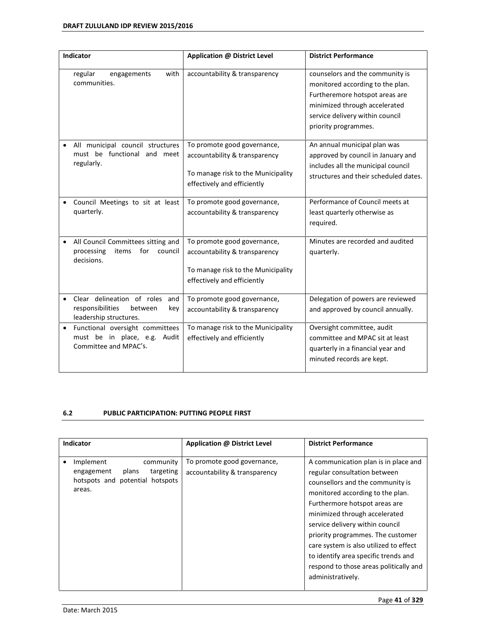| Indicator                                                                                         | Application @ District Level                                                                                                      | <b>District Performance</b>                                                                                                                                                                       |
|---------------------------------------------------------------------------------------------------|-----------------------------------------------------------------------------------------------------------------------------------|---------------------------------------------------------------------------------------------------------------------------------------------------------------------------------------------------|
| regular<br>with<br>engagements<br>communities.                                                    | accountability & transparency                                                                                                     | counselors and the community is<br>monitored according to the plan.<br>Furtheremore hotspot areas are<br>minimized through accelerated<br>service delivery within council<br>priority programmes. |
| All municipal council structures<br>must be functional and meet<br>regularly.                     | To promote good governance,<br>accountability & transparency<br>To manage risk to the Municipality<br>effectively and efficiently | An annual municipal plan was<br>approved by council in January and<br>includes all the municipal council<br>structures and their scheduled dates.                                                 |
| Council Meetings to sit at least<br>quarterly.                                                    | To promote good governance,<br>accountability & transparency                                                                      | Performance of Council meets at<br>least quarterly otherwise as<br>required.                                                                                                                      |
| All Council Committees sitting and<br>processing<br>items<br>for<br>council<br>decisions.         | To promote good governance,<br>accountability & transparency<br>To manage risk to the Municipality<br>effectively and efficiently | Minutes are recorded and audited<br>quarterly.                                                                                                                                                    |
| Clear delineation of roles<br>and<br>responsibilities<br>between<br>key<br>leadership structures. | To promote good governance,<br>accountability & transparency                                                                      | Delegation of powers are reviewed<br>and approved by council annually.                                                                                                                            |
| Functional oversight committees<br>must be in place, e.g. Audit<br>Committee and MPAC's.          | To manage risk to the Municipality<br>effectively and efficiently                                                                 | Oversight committee, audit<br>committee and MPAC sit at least<br>quarterly in a financial year and<br>minuted records are kept.                                                                   |

# **6.2 PUBLIC PARTICIPATION: PUTTING PEOPLE FIRST**

| Indicator                                                                                               | Application @ District Level                                 | <b>District Performance</b>                                                                                                                                                                                                                                                                                                                                                                                                             |
|---------------------------------------------------------------------------------------------------------|--------------------------------------------------------------|-----------------------------------------------------------------------------------------------------------------------------------------------------------------------------------------------------------------------------------------------------------------------------------------------------------------------------------------------------------------------------------------------------------------------------------------|
| Implement<br>community<br>targeting<br>plans<br>engagement<br>hotspots and potential hotspots<br>areas. | To promote good governance,<br>accountability & transparency | A communication plan is in place and<br>regular consultation between<br>counsellors and the community is<br>monitored according to the plan.<br>Furthermore hotspot areas are<br>minimized through accelerated<br>service delivery within council<br>priority programmes. The customer<br>care system is also utilized to effect<br>to identify area specific trends and<br>respond to those areas politically and<br>administratively. |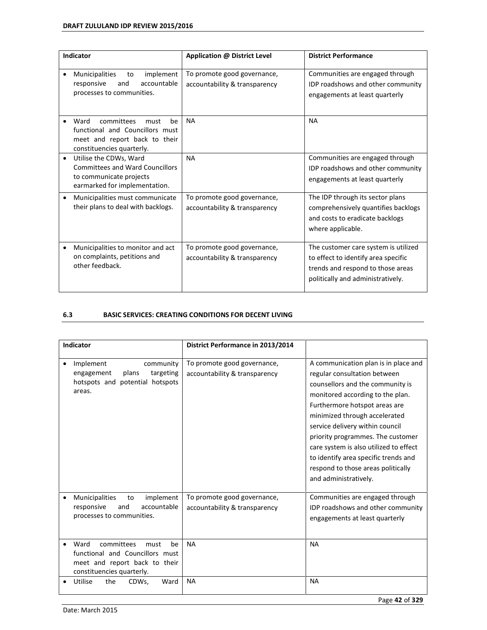| Indicator                                                                                                                                      | Application @ District Level                                 | <b>District Performance</b>                                                                                                                           |
|------------------------------------------------------------------------------------------------------------------------------------------------|--------------------------------------------------------------|-------------------------------------------------------------------------------------------------------------------------------------------------------|
| implement<br>Municipalities<br>to<br>$\bullet$<br>accountable<br>responsive<br>and<br>processes to communities.                                | To promote good governance,<br>accountability & transparency | Communities are engaged through<br>IDP roadshows and other community<br>engagements at least quarterly                                                |
| Ward<br>committees<br>must<br>be<br>$\bullet$<br>functional and Councillors must<br>meet and report back to their<br>constituencies quarterly. | <b>NA</b>                                                    | <b>NA</b>                                                                                                                                             |
| Utilise the CDWs, Ward<br>$\bullet$<br><b>Committees and Ward Councillors</b><br>to communicate projects<br>earmarked for implementation.      | <b>NA</b>                                                    | Communities are engaged through<br>IDP roadshows and other community<br>engagements at least quarterly                                                |
| Municipalities must communicate<br>$\bullet$<br>their plans to deal with backlogs.                                                             | To promote good governance,<br>accountability & transparency | The IDP through its sector plans<br>comprehensively quantifies backlogs<br>and costs to eradicate backlogs<br>where applicable.                       |
| Municipalities to monitor and act<br>$\bullet$<br>on complaints, petitions and<br>other feedback.                                              | To promote good governance,<br>accountability & transparency | The customer care system is utilized<br>to effect to identify area specific<br>trends and respond to those areas<br>politically and administratively. |

# **6.3 BASIC SERVICES: CREATING CONDITIONS FOR DECENT LIVING**

| Indicator                                                                                                                         | District Performance in 2013/2014                            |                                                                                                                                                                                                                                                                                                                                                                                                                                         |  |
|-----------------------------------------------------------------------------------------------------------------------------------|--------------------------------------------------------------|-----------------------------------------------------------------------------------------------------------------------------------------------------------------------------------------------------------------------------------------------------------------------------------------------------------------------------------------------------------------------------------------------------------------------------------------|--|
| Implement<br>community<br>$\bullet$<br>plans<br>targeting<br>engagement<br>hotspots and potential hotspots<br>areas.              | To promote good governance,<br>accountability & transparency | A communication plan is in place and<br>regular consultation between<br>counsellors and the community is<br>monitored according to the plan.<br>Furthermore hotspot areas are<br>minimized through accelerated<br>service delivery within council<br>priority programmes. The customer<br>care system is also utilized to effect<br>to identify area specific trends and<br>respond to those areas politically<br>and administratively. |  |
| Municipalities<br>implement<br>to<br>$\bullet$<br>accountable<br>responsive<br>and<br>processes to communities.                   | To promote good governance,<br>accountability & transparency | Communities are engaged through<br>IDP roadshows and other community<br>engagements at least quarterly                                                                                                                                                                                                                                                                                                                                  |  |
| Ward<br>committees<br>be<br>must<br>functional and Councillors must<br>meet and report back to their<br>constituencies quarterly. | <b>NA</b>                                                    | <b>NA</b>                                                                                                                                                                                                                                                                                                                                                                                                                               |  |
| Utilise<br>the<br>CDWs,<br>Ward                                                                                                   | <b>NA</b>                                                    | <b>NA</b>                                                                                                                                                                                                                                                                                                                                                                                                                               |  |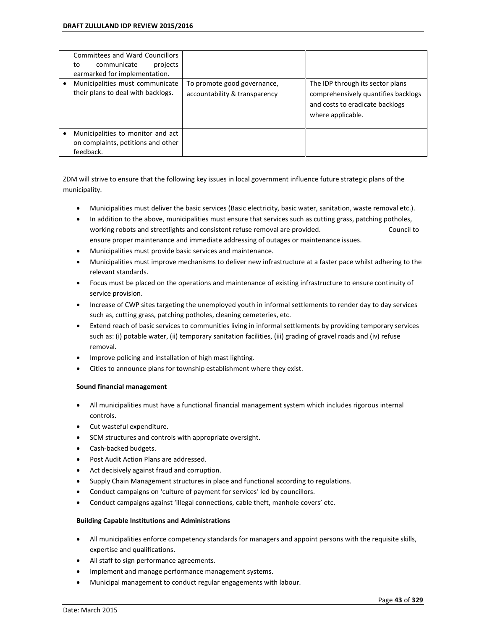| <b>Committees and Ward Councillors</b><br>communicate<br>projects<br>to<br>earmarked for implementation. |                                                              |                                                                                                                                 |
|----------------------------------------------------------------------------------------------------------|--------------------------------------------------------------|---------------------------------------------------------------------------------------------------------------------------------|
| Municipalities must communicate<br>their plans to deal with backlogs.                                    | To promote good governance,<br>accountability & transparency | The IDP through its sector plans<br>comprehensively quantifies backlogs<br>and costs to eradicate backlogs<br>where applicable. |
| Municipalities to monitor and act<br>on complaints, petitions and other<br>feedback.                     |                                                              |                                                                                                                                 |

ZDM will strive to ensure that the following key issues in local government influence future strategic plans of the municipality.

- Municipalities must deliver the basic services (Basic electricity, basic water, sanitation, waste removal etc.).
- In addition to the above, municipalities must ensure that services such as cutting grass, patching potholes, working robots and streetlights and consistent refuse removal are provided. Council to ensure proper maintenance and immediate addressing of outages or maintenance issues.
- Municipalities must provide basic services and maintenance.
- Municipalities must improve mechanisms to deliver new infrastructure at a faster pace whilst adhering to the relevant standards.
- Focus must be placed on the operations and maintenance of existing infrastructure to ensure continuity of service provision.
- Increase of CWP sites targeting the unemployed youth in informal settlements to render day to day services such as, cutting grass, patching potholes, cleaning cemeteries, etc.
- Extend reach of basic services to communities living in informal settlements by providing temporary services such as: (i) potable water, (ii) temporary sanitation facilities, (iii) grading of gravel roads and (iv) refuse removal.
- Improve policing and installation of high mast lighting.
- Cities to announce plans for township establishment where they exist.

### **Sound financial management**

- All municipalities must have a functional financial management system which includes rigorous internal controls.
- Cut wasteful expenditure.
- SCM structures and controls with appropriate oversight.
- Cash-backed budgets.
- Post Audit Action Plans are addressed.
- Act decisively against fraud and corruption.
- Supply Chain Management structures in place and functional according to regulations.
- Conduct campaigns on 'culture of payment for services' led by councillors.
- Conduct campaigns against 'illegal connections, cable theft, manhole covers' etc.

### **Building Capable Institutions and Administrations**

- All municipalities enforce competency standards for managers and appoint persons with the requisite skills, expertise and qualifications.
- All staff to sign performance agreements.
- Implement and manage performance management systems.
- Municipal management to conduct regular engagements with labour.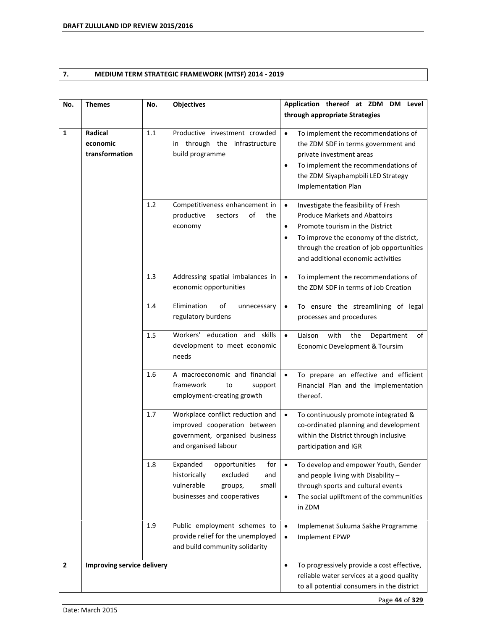# **7. MEDIUM TERM STRATEGIC FRAMEWORK (MTSF) 2014 - 2019**

| No.            | <b>Themes</b>                                       | No. | Objectives                                                                                                                           | Application thereof at ZDM DM Level                                                                                                                                                                                                                                                  |  |
|----------------|-----------------------------------------------------|-----|--------------------------------------------------------------------------------------------------------------------------------------|--------------------------------------------------------------------------------------------------------------------------------------------------------------------------------------------------------------------------------------------------------------------------------------|--|
|                |                                                     |     |                                                                                                                                      | through appropriate Strategies                                                                                                                                                                                                                                                       |  |
| 1              | Radical<br>1.1<br>economic<br>transformation<br>1.2 |     | Productive investment crowded<br>in through the infrastructure<br>build programme                                                    | $\bullet$<br>To implement the recommendations of<br>the ZDM SDF in terms government and<br>private investment areas<br>To implement the recommendations of<br>$\bullet$<br>the ZDM Siyaphampbili LED Strategy<br><b>Implementation Plan</b>                                          |  |
|                |                                                     |     | Competitiveness enhancement in<br>productive<br>of<br>sectors<br>the<br>economy                                                      | $\bullet$<br>Investigate the feasibility of Fresh<br><b>Produce Markets and Abattoirs</b><br>Promote tourism in the District<br>$\bullet$<br>To improve the economy of the district,<br>$\bullet$<br>through the creation of job opportunities<br>and additional economic activities |  |
|                |                                                     | 1.3 | Addressing spatial imbalances in<br>economic opportunities                                                                           | To implement the recommendations of<br>$\bullet$<br>the ZDM SDF in terms of Job Creation                                                                                                                                                                                             |  |
|                |                                                     | 1.4 | Elimination<br>of<br>unnecessary<br>regulatory burdens                                                                               | To ensure the streamlining of legal<br>$\bullet$<br>processes and procedures                                                                                                                                                                                                         |  |
|                |                                                     | 1.5 | Workers' education and skills<br>development to meet economic<br>needs                                                               | Liaison<br>with<br>the<br>$\bullet$<br>Department<br>of<br>Economic Development & Toursim                                                                                                                                                                                            |  |
|                |                                                     | 1.6 | A macroeconomic and financial<br>framework<br>to<br>support<br>employment-creating growth                                            | To prepare an effective and efficient<br>$\bullet$<br>Financial Plan and the implementation<br>thereof.                                                                                                                                                                              |  |
|                |                                                     | 1.7 | Workplace conflict reduction and<br>improved cooperation between<br>government, organised business<br>and organised labour           | To continuously promote integrated &<br>$\bullet$<br>co-ordinated planning and development<br>within the District through inclusive<br>participation and IGR                                                                                                                         |  |
|                |                                                     | 1.8 | Expanded<br>opportunities<br>for<br>historically<br>excluded<br>and<br>vulnerable<br>small<br>groups,<br>businesses and cooperatives | To develop and empower Youth, Gender<br>$\bullet$<br>and people living with Disability -<br>through sports and cultural events<br>The social upliftment of the communities<br>$\bullet$<br>in ZDM                                                                                    |  |
|                |                                                     | 1.9 | Public employment schemes to<br>provide relief for the unemployed<br>and build community solidarity                                  | Implemenat Sukuma Sakhe Programme<br>$\bullet$<br>Implement EPWP<br>$\bullet$                                                                                                                                                                                                        |  |
| $\overline{2}$ | Improving service delivery                          |     |                                                                                                                                      | To progressively provide a cost effective,<br>$\bullet$<br>reliable water services at a good quality<br>to all potential consumers in the district                                                                                                                                   |  |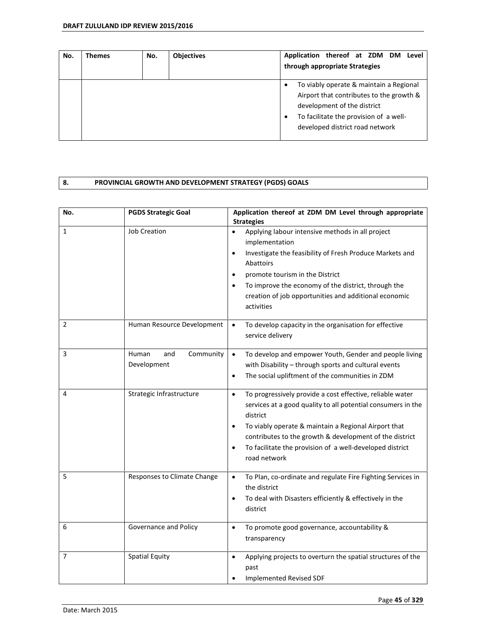| No. | Themes | No. | <b>Objectives</b> | Application thereof at ZDM DM Level<br>through appropriate Strategies                                                                                                                           |
|-----|--------|-----|-------------------|-------------------------------------------------------------------------------------------------------------------------------------------------------------------------------------------------|
|     |        |     |                   | To viably operate & maintain a Regional<br>Airport that contributes to the growth &<br>development of the district<br>To facilitate the provision of a well-<br>developed district road network |

## **8. PROVINCIAL GROWTH AND DEVELOPMENT STRATEGY (PGDS) GOALS**

| No.            | <b>PGDS Strategic Goal</b>               | Application thereof at ZDM DM Level through appropriate<br><b>Strategies</b>                                                                                                                                                                                                                                                                                                |
|----------------|------------------------------------------|-----------------------------------------------------------------------------------------------------------------------------------------------------------------------------------------------------------------------------------------------------------------------------------------------------------------------------------------------------------------------------|
| $\mathbf{1}$   | <b>Job Creation</b>                      | Applying labour intensive methods in all project<br>implementation<br>Investigate the feasibility of Fresh Produce Markets and<br>٠<br>Abattoirs<br>promote tourism in the District<br>$\bullet$<br>To improve the economy of the district, through the<br>$\bullet$<br>creation of job opportunities and additional economic<br>activities                                 |
| $\overline{2}$ | Human Resource Development               | To develop capacity in the organisation for effective<br>$\bullet$<br>service delivery                                                                                                                                                                                                                                                                                      |
| 3              | Community<br>Human<br>and<br>Development | To develop and empower Youth, Gender and people living<br>$\bullet$<br>with Disability - through sports and cultural events<br>The social upliftment of the communities in ZDM<br>$\bullet$                                                                                                                                                                                 |
| 4              | Strategic Infrastructure                 | To progressively provide a cost effective, reliable water<br>$\bullet$<br>services at a good quality to all potential consumers in the<br>district<br>To viably operate & maintain a Regional Airport that<br>$\bullet$<br>contributes to the growth & development of the district<br>To facilitate the provision of a well-developed district<br>$\bullet$<br>road network |
| 5              | Responses to Climate Change              | To Plan, co-ordinate and regulate Fire Fighting Services in<br>$\bullet$<br>the district<br>To deal with Disasters efficiently & effectively in the<br>$\bullet$<br>district                                                                                                                                                                                                |
| 6              | Governance and Policy                    | To promote good governance, accountability &<br>$\bullet$<br>transparency                                                                                                                                                                                                                                                                                                   |
| $\overline{7}$ | <b>Spatial Equity</b>                    | Applying projects to overturn the spatial structures of the<br>$\bullet$<br>past<br>Implemented Revised SDF                                                                                                                                                                                                                                                                 |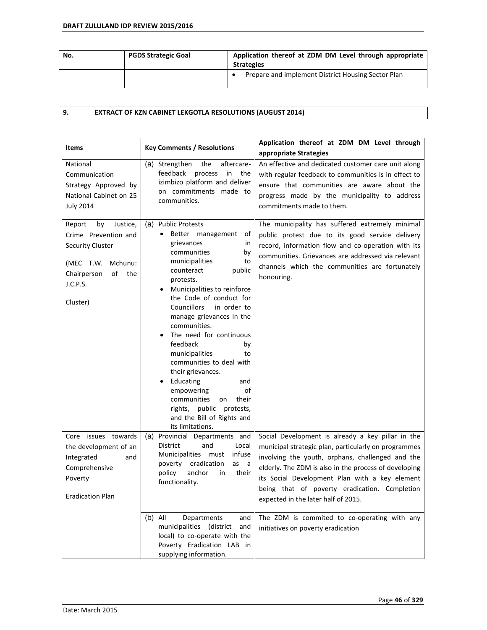| No. | <b>PGDS Strategic Goal</b> | Application thereof at ZDM DM Level through appropriate<br><b>Strategies</b> |
|-----|----------------------------|------------------------------------------------------------------------------|
|     |                            | Prepare and implement District Housing Sector Plan                           |

# **9. EXTRACT OF KZN CABINET LEKGOTLA RESOLUTIONS (AUGUST 2014)**

| <b>Items</b>                                                                                                                                            | <b>Key Comments / Resolutions</b>                                                                                                                                                                                                                                                                                                                                                                                                                                                                                                                                                 | Application thereof at ZDM DM Level through<br>appropriate Strategies                                                                                                                                                                                                                                                                                            |
|---------------------------------------------------------------------------------------------------------------------------------------------------------|-----------------------------------------------------------------------------------------------------------------------------------------------------------------------------------------------------------------------------------------------------------------------------------------------------------------------------------------------------------------------------------------------------------------------------------------------------------------------------------------------------------------------------------------------------------------------------------|------------------------------------------------------------------------------------------------------------------------------------------------------------------------------------------------------------------------------------------------------------------------------------------------------------------------------------------------------------------|
| National<br>Communication<br>Strategy Approved by<br>National Cabinet on 25<br><b>July 2014</b>                                                         | aftercare-<br>(a) Strengthen<br>the<br>feedback<br>process<br>in<br>the<br>izimbizo platform and deliver<br>on commitments made to<br>communities.                                                                                                                                                                                                                                                                                                                                                                                                                                | An effective and dedicated customer care unit along<br>with regular feedback to communities is in effect to<br>ensure that communities are aware about the<br>progress made by the municipality to address<br>commitments made to them.                                                                                                                          |
| by<br>Justice,<br>Report<br>Crime Prevention and<br><b>Security Cluster</b><br>(MEC T.W.<br>Mchunu:<br>of<br>the<br>Chairperson<br>J.C.P.S.<br>Cluster) | (a) Public Protests<br>Better management<br>оf<br>grievances<br>in<br>communities<br>by<br>municipalities<br>to<br>counteract<br>public<br>protests.<br>Municipalities to reinforce<br>the Code of conduct for<br><b>Councillors</b><br>in order to<br>manage grievances in the<br>communities.<br>The need for continuous<br>feedback<br>by<br>municipalities<br>to<br>communities to deal with<br>their grievances.<br>Educating<br>and<br>٠<br>empowering<br>оf<br>communities<br>their<br>on<br>rights,<br>public protests,<br>and the Bill of Rights and<br>its limitations. | The municipality has suffered extremely minimal<br>public protest due to its good service delivery<br>record, information flow and co-operation with its<br>communities. Grievances are addressed via relevant<br>channels which the communities are fortunately<br>honouring.                                                                                   |
| Core issues towards<br>the development of an<br>Integrated<br>and<br>Comprehensive<br>Poverty<br><b>Eradication Plan</b>                                | Provincial Departments and<br>(a)<br><b>District</b><br>and<br>Local<br>Municipalities must<br>infuse<br>eradication<br>poverty<br>as<br>- a<br>policy<br>anchor<br>their<br>in<br>functionality.                                                                                                                                                                                                                                                                                                                                                                                 | Social Development is already a key pillar in the<br>municipal strategic plan, particularly on programmes<br>involving the youth, orphans, challenged and the<br>elderly. The ZDM is also in the process of developing<br>its Social Development Plan with a key element<br>being that of poverty eradication. Ccmpletion<br>expected in the later half of 2015. |
|                                                                                                                                                         | $(b)$ All<br>Departments<br>and<br>municipalities (district<br>and<br>local) to co-operate with the<br>Poverty Eradication LAB in<br>supplying information.                                                                                                                                                                                                                                                                                                                                                                                                                       | The ZDM is commited to co-operating with any<br>initiatives on poverty eradication                                                                                                                                                                                                                                                                               |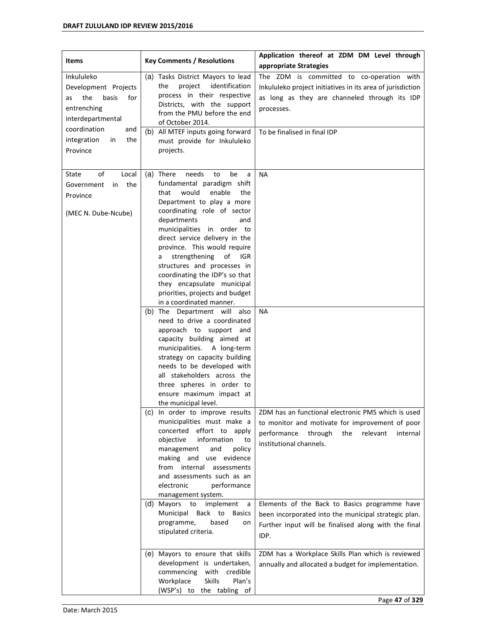| <b>Items</b>                                                                                                               | <b>Key Comments / Resolutions</b>                                                                                                                                                                                                                                                                                                                                                                                                                                                                                                                                                                                                                                                                                                                                                                                                                                                                                                                                                                                          | Application thereof at ZDM DM Level through<br>appropriate Strategies                                                                                                                                               |
|----------------------------------------------------------------------------------------------------------------------------|----------------------------------------------------------------------------------------------------------------------------------------------------------------------------------------------------------------------------------------------------------------------------------------------------------------------------------------------------------------------------------------------------------------------------------------------------------------------------------------------------------------------------------------------------------------------------------------------------------------------------------------------------------------------------------------------------------------------------------------------------------------------------------------------------------------------------------------------------------------------------------------------------------------------------------------------------------------------------------------------------------------------------|---------------------------------------------------------------------------------------------------------------------------------------------------------------------------------------------------------------------|
| Inkululeko<br>Development Projects<br>for<br>the<br>basis<br>as<br>entrenching<br>interdepartmental<br>coordination<br>and | (a) Tasks District Mayors to lead<br>identification<br>project<br>the<br>process in their respective<br>Districts, with the support<br>from the PMU before the end<br>of October 2014.<br>(b) All MTEF inputs going forward                                                                                                                                                                                                                                                                                                                                                                                                                                                                                                                                                                                                                                                                                                                                                                                                | The ZDM is committed to co-operation with<br>Inkululeko project initiatives in its area of jurisdiction<br>as long as they are channeled through its IDP<br>processes.<br>To be finalised in final IDP              |
| the<br>integration<br>in<br>Province                                                                                       | must provide for Inkululeko<br>projects.                                                                                                                                                                                                                                                                                                                                                                                                                                                                                                                                                                                                                                                                                                                                                                                                                                                                                                                                                                                   |                                                                                                                                                                                                                     |
| Local<br>State<br>of<br>the<br>Government<br>in<br>Province<br>(MEC N. Dube-Ncube)                                         | There<br>needs<br>be<br>(a)<br>to<br>a<br>fundamental paradigm shift<br>would<br>enable<br>that<br>the<br>Department to play a more<br>coordinating role of sector<br>departments<br>and<br>municipalities in order to<br>direct service delivery in the<br>province. This would require<br>strengthening<br>of<br>IGR.<br>a<br>structures and processes in<br>coordinating the IDP's so that<br>they encapsulate municipal<br>priorities, projects and budget<br>in a coordinated manner.<br>(b) The Department will also<br>need to drive a coordinated<br>approach to support and<br>capacity building aimed at<br>municipalities. A long-term<br>strategy on capacity building<br>needs to be developed with<br>all stakeholders across the<br>three spheres in order to<br>ensure maximum impact at<br>the municipal level.<br>(c) In order to improve results<br>municipalities must make a<br>concerted effort to apply<br>objective<br>information<br>to<br>policy<br>management<br>and<br>making and use evidence | <b>NA</b><br><b>NA</b><br>ZDM has an functional electronic PMS which is used<br>to monitor and motivate for improvement of poor<br>performance<br>through<br>relevant<br>the<br>internal<br>institutional channels. |
|                                                                                                                            | from internal assessments<br>and assessments such as an<br>electronic<br>performance<br>management system.                                                                                                                                                                                                                                                                                                                                                                                                                                                                                                                                                                                                                                                                                                                                                                                                                                                                                                                 |                                                                                                                                                                                                                     |
|                                                                                                                            | (d) Mayors to implement<br>a<br>Municipal Back to<br><b>Basics</b><br>programme,<br>based<br>on<br>stipulated criteria.                                                                                                                                                                                                                                                                                                                                                                                                                                                                                                                                                                                                                                                                                                                                                                                                                                                                                                    | Elements of the Back to Basics programme have<br>been incorporated into the municipal strategic plan.<br>Further input will be finalised along with the final<br>IDP.                                               |
|                                                                                                                            | (e) Mayors to ensure that skills<br>development is undertaken,<br>commencing<br>with<br>credible<br><b>Skills</b><br>Workplace<br>Plan's<br>(WSP's) to the tabling of                                                                                                                                                                                                                                                                                                                                                                                                                                                                                                                                                                                                                                                                                                                                                                                                                                                      | ZDM has a Workplace Skills Plan which is reviewed<br>annually and allocated a budget for implementation.                                                                                                            |